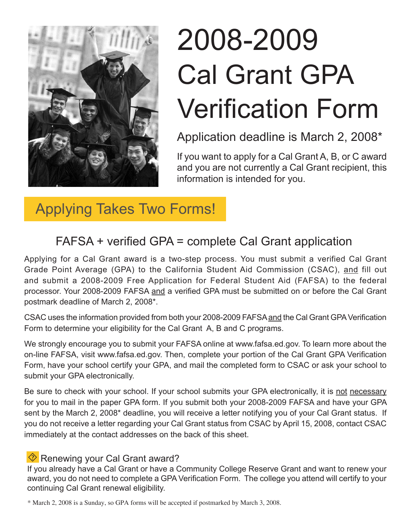

# 2008-2009 Cal Grant GPA Verification Form

Application deadline is March 2, 2008\*

If you want to apply for a Cal Grant A, B, or C award and you are not currently a Cal Grant recipient, this information is intended for you.

## Applying Takes Two Forms!

## FAFSA + verified GPA = complete Cal Grant application

Applying for a Cal Grant award is a two-step process. You must submit a verified Cal Grant Grade Point Average (GPA) to the California Student Aid Commission (CSAC), and fill out and submit a 2008-2009 Free Application for Federal Student Aid (FAFSA) to the federal processor. Your 2008-2009 FAFSA and a verified GPA must be submitted on or before the Cal Grant postmark deadline of March 2, 2008\*.

CSAC uses the information provided from both your 2008-2009 FAFSA and the Cal Grant GPA Verification Form to determine your eligibility for the Cal Grant A, B and C programs.

We strongly encourage you to submit your FAFSA online at www.fafsa.ed.gov. To learn more about the on-line FAFSA, visit www.fafsa.ed.gov. Then, complete your portion of the Cal Grant GPA Verification Form, have your school certify your GPA, and mail the completed form to CSAC or ask your school to submit your GPA electronically.

Be sure to check with your school. If your school submits your GPA electronically, it is not necessary for you to mail in the paper GPA form. If you submit both your 2008-2009 FAFSA and have your GPA sent by the March 2, 2008\* deadline, you will receive a letter notifying you of your Cal Grant status. If you do not receive a letter regarding your Cal Grant status from CSAC by April 15, 2008, contact CSAC immediately at the contact addresses on the back of this sheet.

### $\Diamond$  Renewing your Cal Grant award?

If you already have a Cal Grant or have a Community College Reserve Grant and want to renew your award, you do not need to complete a GPA Verification Form. The college you attend will certify to your continuing Cal Grant renewal eligibility.

\* March 2, 2008 is a Sunday, so GPA forms will be accepted if postmarked by March 3, 2008.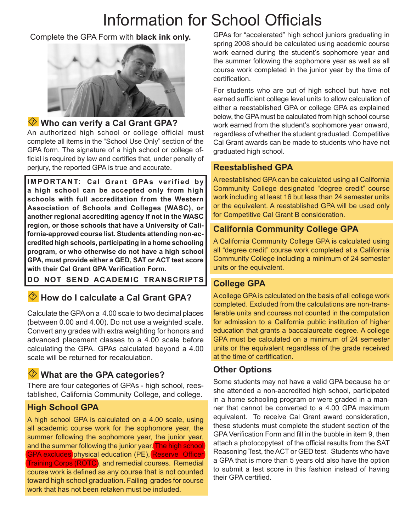## Information for School Officials

#### Complete the GPA Form with **black ink only.**



#### **Who can verify a Cal Grant GPA?**

An authorized high school or college official must complete all items in the "School Use Only" section of the GPA form. The signature of a high school or college official is required by law and certifies that, under penalty of perjury, the reported GPA is true and accurate.

**IMPORTANT: Cal Grant GPAs verified by a high school can be accepted only from high schools with full accreditation from the Western Association of Schools and Colleges (WASC), or another regional accrediting agency if not in the WASC region, or those schools that have a University of California-approved course list. Students attending non-accredited high schools, participating in a home schooling program, or who otherwise do not have a high school GPA, must provide either a GED, SAT or ACT test score with their Cal Grant GPA Verification Form.**

**DO NOT SEND ACADEMIC TRANSCRIPTS**

#### **EXALUATE:** How do I calculate a Cal Grant GPA?

Calculate the GPA on a 4.00 scale to two decimal places (between 0.00 and 4.00). Do not use a weighted scale. Convert any grades with extra weighting for honors and advanced placement classes to a 4.00 scale before calculating the GPA. GPAs calculated beyond a 4.00 scale will be returned for recalculation.

#### **What are the GPA categories?**

There are four categories of GPAs - high school, reestablished, California Community College, and college.

#### **High School GPA**

A high school GPA is calculated on a 4.00 scale, using all academic course work for the sophomore year, the summer following the sophomore year, the junior year, and the summer following the junior year. The high school GPA excludes physical education (PE), Reserve Officer Training Corps (ROTC), and remedial courses. Remedial course work is defined as any course that is not counted toward high school graduation. Failing grades for course work that has not been retaken must be included.

GPAs for "accelerated" high school juniors graduating in spring 2008 should be calculated using academic course work earned during the student's sophomore year and the summer following the sophomore year as well as all course work completed in the junior year by the time of certification.

For students who are out of high school but have not earned sufficient college level units to allow calculation of either a reestablished GPA or college GPA as explained below, the GPA must be calculated from high school course work earned from the student's sophomore year onward, regardless of whether the student graduated. Competitive Cal Grant awards can be made to students who have not graduated high school.

#### **Reestablished GPA**

A reestablished GPA can be calculated using all California Community College designated "degree credit" course work including at least 16 but less than 24 semester units or the equivalent. A reestablished GPA will be used only for Competitive Cal Grant B consideration.

#### **California Community College GPA**

A California Community College GPA is calculated using all "degree credit" course work completed at a California Community College including a minimum of 24 semester units or the equivalent.

#### **College GPA**

A college GPA is calculated on the basis of all college work completed. Excluded from the calculations are non-transferable units and courses not counted in the computation for admission to a California public institution of higher education that grants a baccalaureate degree. A college GPA must be calculated on a minimum of 24 semester units or the equivalent regardless of the grade received at the time of certification.

#### **Other Options**

Some students may not have a valid GPA because he or she attended a non-accredited high school, participated in a home schooling program or were graded in a manner that cannot be converted to a 4.00 GPA maximum equivalent. To receive Cal Grant award consideration, these students must complete the student section of the GPA Verification Form and fill in the bubble in item 9, then attach a photocopytest of the official results from the SAT Reasoning Test, the ACT or GED test. Students who have a GPA that is more than 5 years old also have the option to submit a test score in this fashion instead of having their GPA certified.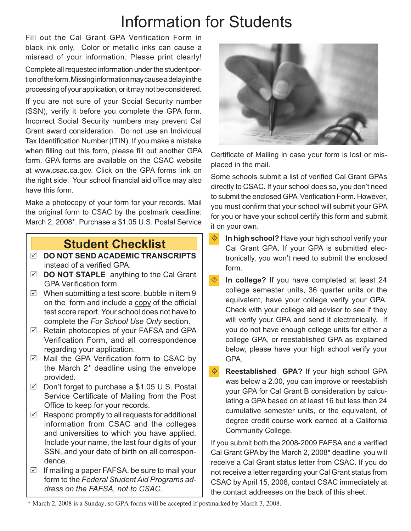## Information for Students

Fill out the Cal Grant GPA Verification Form in black ink only. Color or metallic inks can cause a misread of your information. Please print clearly! Complete all requested information under the student portion of the form. Missing information may cause a delay in the processing of your application, or it may not be considered.

If you are not sure of your Social Security number (SSN), verify it before you complete the GPA form. Incorrect Social Security numbers may prevent Cal Grant award consideration. Do not use an Individual Tax Identification Number (ITIN). If you make a mistake when filling out this form, please fill out another GPA form. GPA forms are available on the CSAC website at www.csac.ca.gov. Click on the GPA forms link on the right side. Your school financial aid office may also have this form.

Make a photocopy of your form for your records. Mail the original form to CSAC by the postmark deadline: March 2, 2008\*. Purchase a \$1.05 U.S. Postal Service

## **Student Checklist**

- **DO NOT SEND ACADEMIC TRANSCRIPTS**  instead of a verified GPA.
- **DO NOT STAPLE** anything to the Cal Grant GPA Verification form.
- $\boxtimes$  When submitting a test score, bubble in item 9 on the form and include a copy of the official test score report. Your school does not have to complete the *For School Use Only* section.
- $\boxtimes$  Retain photocopies of your FAFSA and GPA Verification Form, and all correspondence regarding your application.
- $\boxtimes$  Mail the GPA Verification form to CSAC by the March 2\* deadline using the envelope provided.
- Don't forget to purchase a \$1.05 U.S. Postal Service Certificate of Mailing from the Post Office to keep for your records.
- $\boxtimes$  Respond promptly to all requests for additional information from CSAC and the colleges and universities to which you have applied. Include your name, the last four digits of your SSN, and your date of birth on all correspondence.
- $\boxtimes$  If mailing a paper FAFSA, be sure to mail your form to the *Federal Student Aid Programs address on the FAFSA, not to CSAC.*



Certificate of Mailing in case your form is lost or misplaced in the mail.

Some schools submit a list of verified Cal Grant GPAs directly to CSAC. If your school does so, you don't need to submit the enclosed GPA Verification Form. However, you must confirm that your school will submit your GPA for you or have your school certify this form and submit it on your own.

- **In high school?** Have your high school verify your Cal Grant GPA. If your GPA is submitted electronically, you won't need to submit the enclosed form.
- **In college?** If you have completed at least 24 college semester units, 36 quarter units or the equivalent, have your college verify your GPA. Check with your college aid advisor to see if they will verify your GPA and send it electronically. If you do not have enough college units for either a college GPA, or reestablished GPA as explained below, please have your high school verify your GPA.
- **Reestablished GPA?** If your high school GPA was below a 2.00, you can improve or reestablish your GPA for Cal Grant B consideration by calculating a GPA based on at least 16 but less than 24 cumulative semester units, or the equivalent, of degree credit course work earned at a California Community College.

If you submit both the 2008-2009 FAFSA and a verified Cal Grant GPA by the March 2, 2008\* deadline you will receive a Cal Grant status letter from CSAC. If you do not receive a letter regarding your Cal Grant status from CSAC by April 15, 2008, contact CSAC immediately at the contact addresses on the back of this sheet.

<sup>\*</sup> March 2, 2008 is a Sunday, so GPA forms will be accepted if postmarked by March 3, 2008.